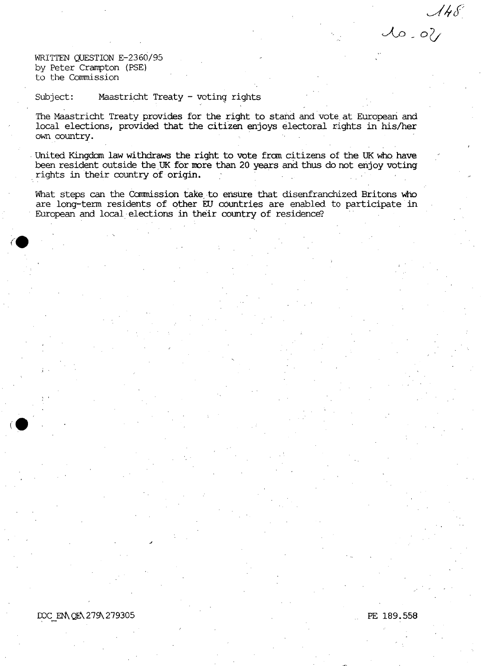WRITTEN QUESTION E-2360/95 by Peter Cranpton (PSE) to the Commission

## Subject: Maastricht Treaty - voting rights

The Maastricht Treaty provides for the right to stand and vote at European and local elections, provided that the citizen enjoys electoral rights in his/her own country.

United Kingdom law withdraws the right to vote from citizens of the UK who have been resident outside the UK for more than 20 years and thus do not enjoy voting rights in their country of origin.

What steps can the Commission take to ensure that disenfranchized Britons who are long-term residents of other ГО countries are enabled to participate in European and local elections in their country óf residence?

DOC\_EIN QEN 279 279305 . PE 189.558

 $448$ 

 $10.07$